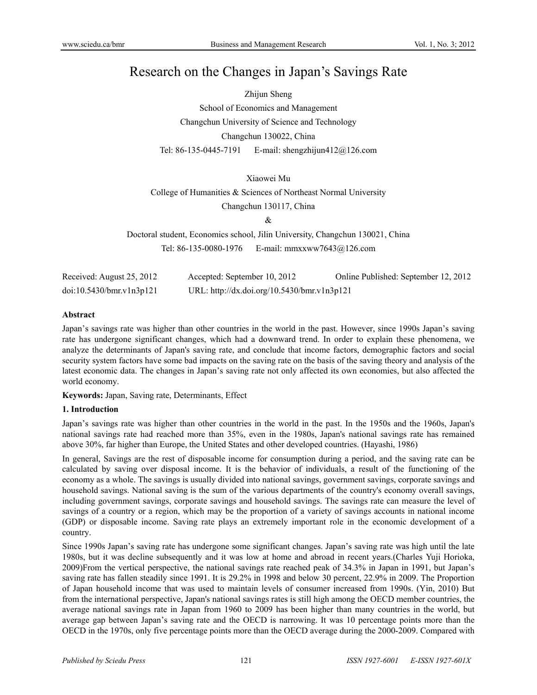# Research on the Changes in Japan's Savings Rate

Zhijun Sheng

School of Economics and Management Changchun University of Science and Technology Changchun 130022, China Tel: 86-135-0445-7191 E-mail: shengzhijun412@126.com

# Xiaowei Mu

College of Humanities & Sciences of Northeast Normal University

Changchun 130117, China

&

Doctoral student, Economics school, Jilin University, Changchun 130021, China Tel: 86-135-0080-1976 E-mail: mmxxww7643@126.com

| Received: August 25, 2012 | Accepted: September 10, 2012                | Online Published: September 12, 2012 |
|---------------------------|---------------------------------------------|--------------------------------------|
| doi:10.5430/bmr.v1n3p121  | URL: http://dx.doi.org/10.5430/bmr.v1n3p121 |                                      |

## **Abstract**

Japan's savings rate was higher than other countries in the world in the past. However, since 1990s Japan's saving rate has undergone significant changes, which had a downward trend. In order to explain these phenomena, we analyze the determinants of Japan's saving rate, and conclude that income factors, demographic factors and social security system factors have some bad impacts on the saving rate on the basis of the saving theory and analysis of the latest economic data. The changes in Japan's saving rate not only affected its own economies, but also affected the world economy.

**Keywords:** Japan, Saving rate, Determinants, Effect

## **1. Introduction**

Japan's savings rate was higher than other countries in the world in the past. In the 1950s and the 1960s, Japan's national savings rate had reached more than 35%, even in the 1980s, Japan's national savings rate has remained above 30%, far higher than Europe, the United States and other developed countries. (Hayashi, 1986)

In general, Savings are the rest of disposable income for consumption during a period, and the saving rate can be calculated by saving over disposal income. It is the behavior of individuals, a result of the functioning of the economy as a whole. The savings is usually divided into national savings, government savings, corporate savings and household savings. National saving is the sum of the various departments of the country's economy overall savings, including government savings, corporate savings and household savings. The savings rate can measure the level of savings of a country or a region, which may be the proportion of a variety of savings accounts in national income (GDP) or disposable income. Saving rate plays an extremely important role in the economic development of a country.

Since 1990s Japan's saving rate has undergone some significant changes. Japan's saving rate was high until the late 1980s, but it was decline subsequently and it was low at home and abroad in recent years.(Charles Yuji Horioka, 2009)From the vertical perspective, the national savings rate reached peak of 34.3% in Japan in 1991, but Japan's saving rate has fallen steadily since 1991. It is 29.2% in 1998 and below 30 percent, 22.9% in 2009. The Proportion of Japan household income that was used to maintain levels of consumer increased from 1990s. (Yin, 2010) But from the international perspective, Japan's national savings rates is still high among the OECD member countries, the average national savings rate in Japan from 1960 to 2009 has been higher than many countries in the world, but average gap between Japan's saving rate and the OECD is narrowing. It was 10 percentage points more than the OECD in the 1970s, only five percentage points more than the OECD average during the 2000-2009. Compared with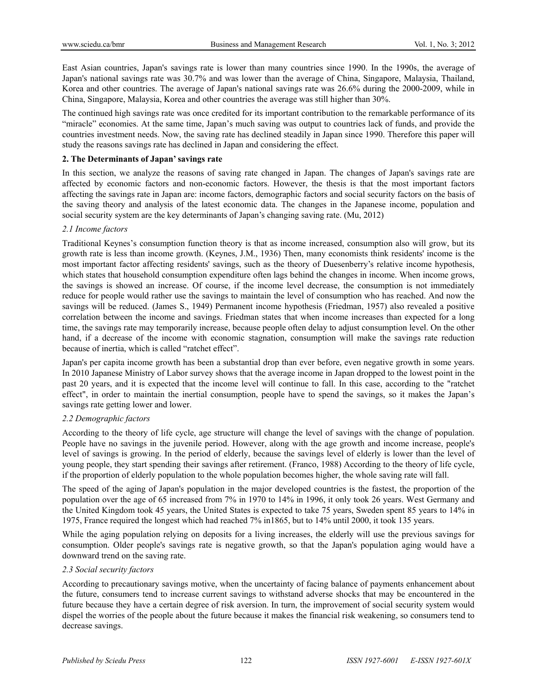East Asian countries, Japan's savings rate is lower than many countries since 1990. In the 1990s, the average of Japan's national savings rate was 30.7% and was lower than the average of China, Singapore, Malaysia, Thailand, Korea and other countries. The average of Japan's national savings rate was 26.6% during the 2000-2009, while in China, Singapore, Malaysia, Korea and other countries the average was still higher than 30%.

The continued high savings rate was once credited for its important contribution to the remarkable performance of its "miracle" economies. At the same time, Japan's much saving was output to countries lack of funds, and provide the countries investment needs. Now, the saving rate has declined steadily in Japan since 1990. Therefore this paper will study the reasons savings rate has declined in Japan and considering the effect.

## **2. The Determinants of Japan' savings rate**

In this section, we analyze the reasons of saving rate changed in Japan. The changes of Japan's savings rate are affected by economic factors and non-economic factors. However, the thesis is that the most important factors affecting the savings rate in Japan are: income factors, demographic factors and social security factors on the basis of the saving theory and analysis of the latest economic data. The changes in the Japanese income, population and social security system are the key determinants of Japan's changing saving rate. (Mu, 2012)

## *2.1 Income factors*

Traditional Keynes's consumption function theory is that as income increased, consumption also will grow, but its growth rate is less than income growth. (Keynes, J.M., 1936) Then, many economists think residents' income is the most important factor affecting residents' savings, such as the theory of Duesenberry's relative income hypothesis, which states that household consumption expenditure often lags behind the changes in income. When income grows, the savings is showed an increase. Of course, if the income level decrease, the consumption is not immediately reduce for people would rather use the savings to maintain the level of consumption who has reached. And now the savings will be reduced. (James S., 1949) Permanent income hypothesis (Friedman, 1957) also revealed a positive correlation between the income and savings. Friedman states that when income increases than expected for a long time, the savings rate may temporarily increase, because people often delay to adjust consumption level. On the other hand, if a decrease of the income with economic stagnation, consumption will make the savings rate reduction because of inertia, which is called "ratchet effect".

Japan's per capita income growth has been a substantial drop than ever before, even negative growth in some years. In 2010 Japanese Ministry of Labor survey shows that the average income in Japan dropped to the lowest point in the past 20 years, and it is expected that the income level will continue to fall. In this case, according to the "ratchet effect", in order to maintain the inertial consumption, people have to spend the savings, so it makes the Japan's savings rate getting lower and lower.

#### *2.2 Demographic factors*

According to the theory of life cycle, age structure will change the level of savings with the change of population. People have no savings in the juvenile period. However, along with the age growth and income increase, people's level of savings is growing. In the period of elderly, because the savings level of elderly is lower than the level of young people, they start spending their savings after retirement. (Franco, 1988) According to the theory of life cycle, if the proportion of elderly population to the whole population becomes higher, the whole saving rate will fall.

The speed of the aging of Japan's population in the major developed countries is the fastest, the proportion of the population over the age of 65 increased from 7% in 1970 to 14% in 1996, it only took 26 years. West Germany and the United Kingdom took 45 years, the United States is expected to take 75 years, Sweden spent 85 years to 14% in 1975, France required the longest which had reached 7% in1865, but to 14% until 2000, it took 135 years.

While the aging population relying on deposits for a living increases, the elderly will use the previous savings for consumption. Older people's savings rate is negative growth, so that the Japan's population aging would have a downward trend on the saving rate.

#### *2.3 Social security factors*

According to precautionary savings motive, when the uncertainty of facing balance of payments enhancement about the future, consumers tend to increase current savings to withstand adverse shocks that may be encountered in the future because they have a certain degree of risk aversion. In turn, the improvement of social security system would dispel the worries of the people about the future because it makes the financial risk weakening, so consumers tend to decrease savings.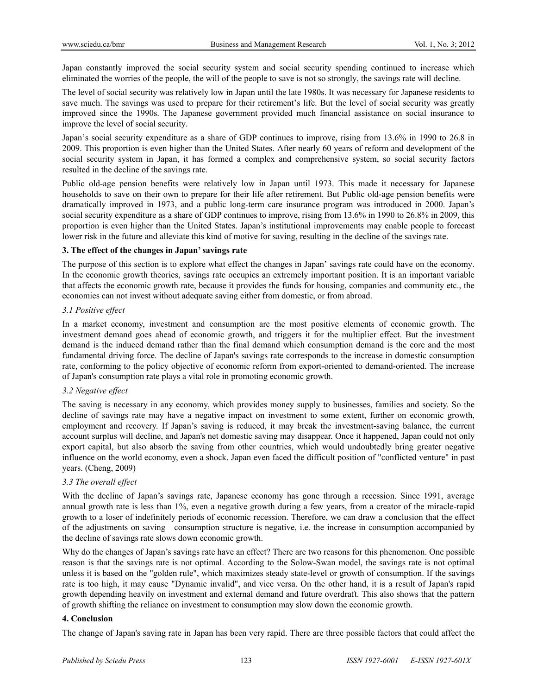Japan constantly improved the social security system and social security spending continued to increase which eliminated the worries of the people, the will of the people to save is not so strongly, the savings rate will decline.

The level of social security was relatively low in Japan until the late 1980s. It was necessary for Japanese residents to save much. The savings was used to prepare for their retirement's life. But the level of social security was greatly improved since the 1990s. The Japanese government provided much financial assistance on social insurance to improve the level of social security.

Japan's social security expenditure as a share of GDP continues to improve, rising from 13.6% in 1990 to 26.8 in 2009. This proportion is even higher than the United States. After nearly 60 years of reform and development of the social security system in Japan, it has formed a complex and comprehensive system, so social security factors resulted in the decline of the savings rate.

Public old-age pension benefits were relatively low in Japan until 1973. This made it necessary for Japanese households to save on their own to prepare for their life after retirement. But Public old-age pension benefits were dramatically improved in 1973, and a public long-term care insurance program was introduced in 2000. Japan's social security expenditure as a share of GDP continues to improve, rising from 13.6% in 1990 to 26.8% in 2009, this proportion is even higher than the United States. Japan's institutional improvements may enable people to forecast lower risk in the future and alleviate this kind of motive for saving, resulting in the decline of the savings rate.

# **3. The effect of the changes in Japan' savings rate**

The purpose of this section is to explore what effect the changes in Japan' savings rate could have on the economy. In the economic growth theories, savings rate occupies an extremely important position. It is an important variable that affects the economic growth rate, because it provides the funds for housing, companies and community etc., the economies can not invest without adequate saving either from domestic, or from abroad.

# *3.1 Positive effect*

In a market economy, investment and consumption are the most positive elements of economic growth. The investment demand goes ahead of economic growth, and triggers it for the multiplier effect. But the investment demand is the induced demand rather than the final demand which consumption demand is the core and the most fundamental driving force. The decline of Japan's savings rate corresponds to the increase in domestic consumption rate, conforming to the policy objective of economic reform from export-oriented to demand-oriented. The increase of Japan's consumption rate plays a vital role in promoting economic growth.

# *3.2 Negative effect*

The saving is necessary in any economy, which provides money supply to businesses, families and society. So the decline of savings rate may have a negative impact on investment to some extent, further on economic growth, employment and recovery. If Japan's saving is reduced, it may break the investment-saving balance, the current account surplus will decline, and Japan's net domestic saving may disappear. Once it happened, Japan could not only export capital, but also absorb the saving from other countries, which would undoubtedly bring greater negative influence on the world economy, even a shock. Japan even faced the difficult position of "conflicted venture" in past years. (Cheng, 2009)

# *3.3 The overall effect*

With the decline of Japan's savings rate, Japanese economy has gone through a recession. Since 1991, average annual growth rate is less than 1%, even a negative growth during a few years, from a creator of the miracle-rapid growth to a loser of indefinitely periods of economic recession. Therefore, we can draw a conclusion that the effect of the adjustments on saving—consumption structure is negative, i.e. the increase in consumption accompanied by the decline of savings rate slows down economic growth.

Why do the changes of Japan's savings rate have an effect? There are two reasons for this phenomenon. One possible reason is that the savings rate is not optimal. According to the Solow-Swan model, the savings rate is not optimal unless it is based on the "golden rule", which maximizes steady state-level or growth of consumption. If the savings rate is too high, it may cause "Dynamic invalid", and vice versa. On the other hand, it is a result of Japan's rapid growth depending heavily on investment and external demand and future overdraft. This also shows that the pattern of growth shifting the reliance on investment to consumption may slow down the economic growth.

## **4. Conclusion**

The change of Japan's saving rate in Japan has been very rapid. There are three possible factors that could affect the